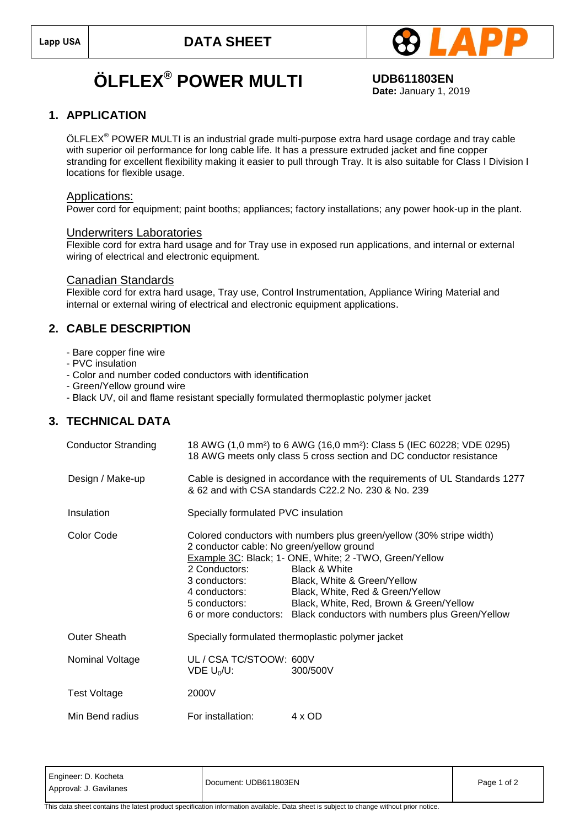

## $\ddot{\textbf{O}}$ **LFLEX**<sup>®</sup> POWER MULTI UDB611803EN

**Date:** January 1, 2019

## **1. APPLICATION**

 $\mathsf{OLFLEX}^\circledast$  POWER MULTI is an industrial grade multi-purpose extra hard usage cordage and tray cable with superior oil performance for long cable life. It has a pressure extruded jacket and fine copper stranding for excellent flexibility making it easier to pull through Tray. It is also suitable for Class I Division I locations for flexible usage.

#### Applications:

Power cord for equipment; paint booths; appliances; factory installations; any power hook-up in the plant.

#### Underwriters Laboratories

Flexible cord for extra hard usage and for Tray use in exposed run applications, and internal or external wiring of electrical and electronic equipment.

#### Canadian Standards

Flexible cord for extra hard usage, Tray use, Control Instrumentation, Appliance Wiring Material and internal or external wiring of electrical and electronic equipment applications.

### **2. CABLE DESCRIPTION**

- Bare copper fine wire
- PVC insulation
- Color and number coded conductors with identification
- Green/Yellow ground wire
- Black UV, oil and flame resistant specially formulated thermoplastic polymer jacket

## **3. TECHNICAL DATA**

| <b>Conductor Stranding</b> |                                                                                                                                   | 18 AWG (1,0 mm <sup>2</sup> ) to 6 AWG (16,0 mm <sup>2</sup> ): Class 5 (IEC 60228; VDE 0295)<br>18 AWG meets only class 5 cross section and DC conductor resistance                                                                                                                                                                             |  |
|----------------------------|-----------------------------------------------------------------------------------------------------------------------------------|--------------------------------------------------------------------------------------------------------------------------------------------------------------------------------------------------------------------------------------------------------------------------------------------------------------------------------------------------|--|
| Design / Make-up           | Cable is designed in accordance with the requirements of UL Standards 1277<br>& 62 and with CSA standards C22.2 No. 230 & No. 239 |                                                                                                                                                                                                                                                                                                                                                  |  |
| Insulation                 | Specially formulated PVC insulation                                                                                               |                                                                                                                                                                                                                                                                                                                                                  |  |
| Color Code                 | 2 conductor cable: No green/yellow ground<br>2 Conductors:<br>3 conductors:<br>4 conductors:<br>5 conductors:                     | Colored conductors with numbers plus green/yellow (30% stripe width)<br>Example 3C: Black; 1- ONE, White; 2-TWO, Green/Yellow<br><b>Black &amp; White</b><br>Black, White & Green/Yellow<br>Black, White, Red & Green/Yellow<br>Black, White, Red, Brown & Green/Yellow<br>6 or more conductors: Black conductors with numbers plus Green/Yellow |  |
| Outer Sheath               |                                                                                                                                   | Specially formulated thermoplastic polymer jacket                                                                                                                                                                                                                                                                                                |  |
| Nominal Voltage            | UL / CSA TC/STOOW: 600V<br>VDE $U_0/U$ :                                                                                          | 300/500V                                                                                                                                                                                                                                                                                                                                         |  |
| Test Voltage               | 2000V                                                                                                                             |                                                                                                                                                                                                                                                                                                                                                  |  |
| Min Bend radius            | For installation:                                                                                                                 | 4 x OD                                                                                                                                                                                                                                                                                                                                           |  |

This data sheet contains the latest product specification information available. Data sheet is subject to change without prior notice.